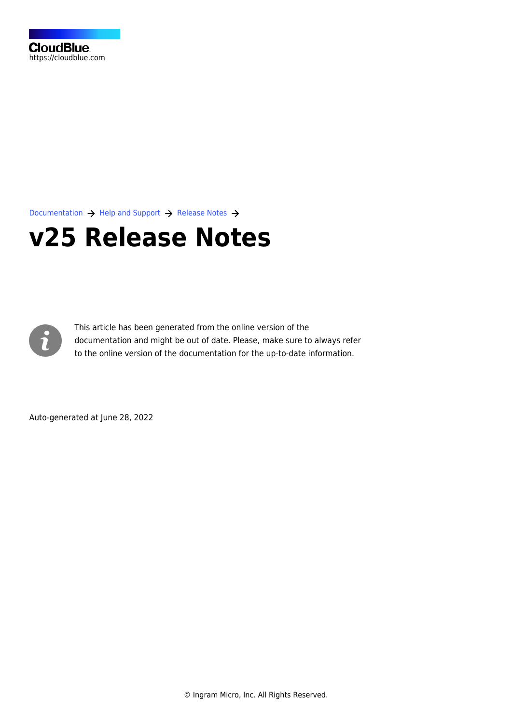

[Documentation](https://connect.cloudblue.com/documentation)  $\rightarrow$  [Help and Support](https://connect.cloudblue.com/community/help/)  $\rightarrow$  [Release Notes](https://connect.cloudblue.com/community/help/release-notes/)  $\rightarrow$ 

# **[v25 Release Notes](https://connect.cloudblue.com/community/help/release-notes/v25/)**



This article has been generated from the online version of the documentation and might be out of date. Please, make sure to always refer to the online version of the documentation for the up-to-date information.

Auto-generated at June 28, 2022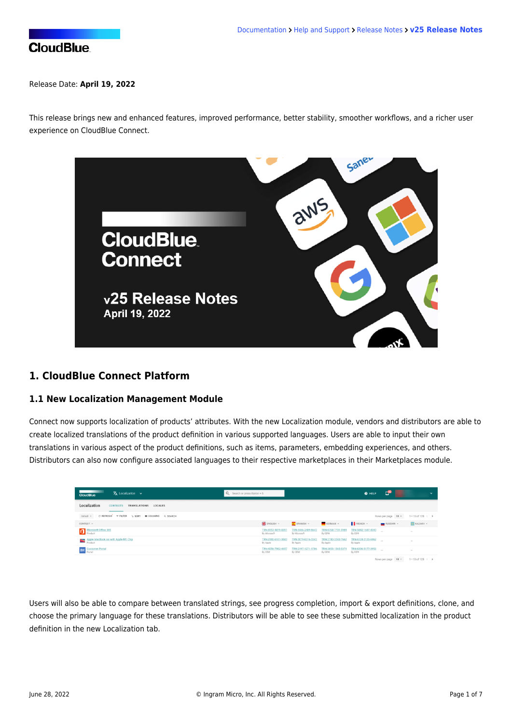#### Release Date: **April 19, 2022**

This release brings new and enhanced features, improved performance, better stability, smoother workflows, and a richer user experience on CloudBlue Connect.



## **1. CloudBlue Connect Platform**

#### **1.1 New Localization Management Module**

Connect now supports localization of products' attributes. With the new Localization module, vendors and distributors are able to create localized translations of the product definition in various supported languages. Users are able to input their own translations in various aspect of the product definitions, such as items, parameters, embedding experiences, and others. Distributors can also now configure associated languages to their respective marketplaces in their Marketplaces module.

| $\bar{\mathbf{X}}$ Localization $\sim$<br><b>CloudBlue</b>     | Q Search or press Option + S       |                                    |                                | <b>O</b> HELP                  | H<br>☞                                 | $\tilde{\phantom{a}}$          |
|----------------------------------------------------------------|------------------------------------|------------------------------------|--------------------------------|--------------------------------|----------------------------------------|--------------------------------|
| Localization<br>TRANSLATIONS<br><b>CONTEXTS</b><br>LOCALES     |                                    |                                    |                                |                                |                                        |                                |
| Default $\sim$<br>CREFRESH V FILTER 1 SORT IN COLUMNS Q SEARCH |                                    |                                    |                                |                                | Rows per page 10 -                     | $1 - 10$ of 128 $\leftarrow$ > |
| CONTEXT -                                                      | <b>EXECUTSH</b> -                  | $E$ SPANISH $=$                    | GERMAN -                       | FRENCH -                       | RUSSIAN -                              | <b>E KAZAKH v</b>              |
| Microsoft Office 365                                           | TRN-4153-4819-8351<br>By Microsoft | TRN-4446-2489-6642<br>By Microsoft | TRN-8358-7731-3989<br>By CDW   | TRN-5842-1697-4340<br>By COW   |                                        | $\sim$                         |
| Apple MacBook Air with Apple M1 Chip                           | TRN-2180-6161-3683<br>By Apple     | TRN-3079-6316-3342<br>By Apple     | TRN-2740-3243-7662<br>By Apple | TRN-6124-2120-6962<br>By Apple | $\sim$                                 | $\sim$                         |
| <b>IM</b> Customer Portal                                      | TRN-4056-7982-4457<br>By CDW       | TRN-2197-1271-1786<br>By CDW       | TRN-3853-1565-5374<br>By CDW   | TRN-8206-5177-3952<br>By CDW   | $\sim$                                 | $\sim$                         |
|                                                                |                                    |                                    |                                |                                | Rows per page   10 -   1-10 of 128 < > |                                |

Users will also be able to compare between translated strings, see progress completion, import & export definitions, clone, and choose the primary language for these translations. Distributors will be able to see these submitted localization in the product definition in the new Localization tab.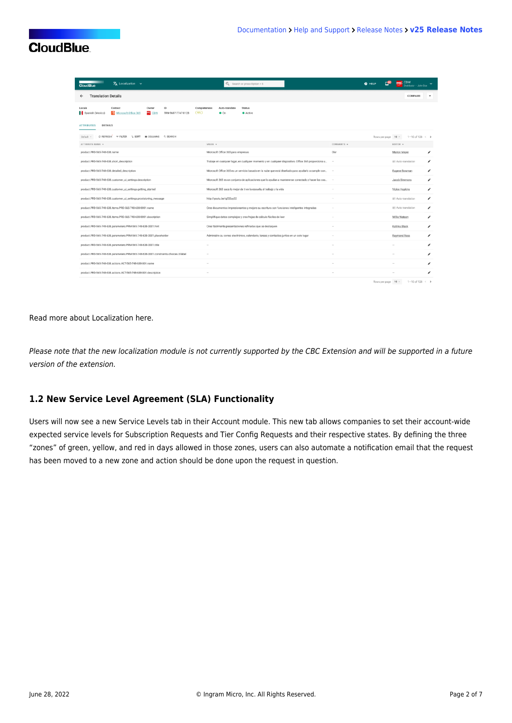| $\bar{X}_A$ Localization $\sim$<br><b>CloudBlue</b>                                                                           | Q Search or press Option + S                                                                          | <b>O</b> HELP<br><b>Buitor + John Doe</b>            |
|-------------------------------------------------------------------------------------------------------------------------------|-------------------------------------------------------------------------------------------------------|------------------------------------------------------|
| <b>Translation Details</b><br>$\leftarrow$                                                                                    |                                                                                                       | COMPARE                                              |
| Context<br>ID.<br>Locale<br>Owner<br><b>ER</b> CDW<br>(955)<br>Microsoft Office 365<br>Spanish (Mexico)<br>TRN-9687-7747-8128 | Completeness<br>Auto-translate<br><b>Status</b><br>$\bullet$ On<br>Active                             |                                                      |
| <b>DETAILS</b><br><b>ATTRIBUTES</b>                                                                                           |                                                                                                       |                                                      |
| C REFRESH T FILTER<br>1 SORT III COLUMNS Q SEARCH<br>Default =                                                                |                                                                                                       | $1 - 10$ of 128 $\leftarrow$ ><br>Rows per page 10 - |
| ATTRIBUTE NAME =                                                                                                              | VALUE -                                                                                               | COMMENTS -<br>EDITOR +                               |
| product.PRD-565-748-638.name                                                                                                  | Microsoft Office 365 para empresas                                                                    | Olat<br>Marion Meyer<br>∕                            |
| product.PRD-565-748-638.short_description                                                                                     | Trabaje en cualquier lugar, en cualquier momento y en cualquier dispositivo. Office 365 proporciona u | ∕<br>助 Auto-translation<br>$\sim$                    |
| product.PRD-565-748-638.detailed_description                                                                                  | Microsoft Office 365 es un servicio basado en la nube que está diseñado para ayudarlo a cumplir con   | Eugene Bowman<br>╭                                   |
| product.PRD-565-748-638.customer_ui_settings.description                                                                      | Microsoft 365 es un conjunto de aplicaciones que lo ayudan a mantenerse conectado y hacer las cos     | Jacob Simmons<br>∕                                   |
| product.PRD-565-748-638.customer_ui_settings.getting_started                                                                  | Microsoft 365 saca lo mejor de ti en la escuela, el trabajo y la vida                                 | Vickie Hopkins<br>v                                  |
| product.PRD-565-748-638.customer_ui_settings.provisioning_message                                                             | http://youtu.be/q232uy32                                                                              | ∕<br>85 Auto-translation                             |
| product.PRD-565-748-638.items.PRD-565-748-638-0001.name                                                                       | Cree documentos impresionantes y mejore su escritura con funciones inteligentes integradas            | 自 Auto-translation<br>v                              |
| product.PRD-565-748-638.items.PRD-565-748-638-0001.description                                                                | Simplifique datos complejos y cree hojas de cálculo fáciles de leer                                   | Willie Watson<br>v                                   |
| product.PRD-565-748-638.parameters.PRM-565-748-638-0001.hint                                                                  | Cree fácilmente presentaciones refinadas que se destaquen                                             | Katrina Black<br>∕<br>$\overline{\phantom{a}}$       |
| product.PRD-565-748-638.parameters.PRM-565-748-638-0001.placeholder                                                           | Administre su correo electrónico, calendario, tareas y contactos juntos en un solo lugar              | ∕<br>Raymond Ross                                    |
| product.PRD-565-748-638.parameters.PRM-565-748-638-0001.title                                                                 |                                                                                                       | ∕                                                    |
| product.PRD-565-748-638.parameters.PRM-565-748-638-0001.constraints.choices.0.label                                           |                                                                                                       | ∕                                                    |
| product.PRD-565-748-638.actions.ACT-565-748-638-001.name                                                                      |                                                                                                       | v                                                    |
| product.PRD-565-748-638.actions.ACT-565-748-638-001.description                                                               |                                                                                                       | ∕                                                    |
|                                                                                                                               |                                                                                                       | $D_{\text{DMSS}}$ narrows $10 - 10 - 10 - 128 < 5$   |

#### Read more about Localization [here](https://connect.cloudblue.com/community/modules/localization/).

Please note that the new localization module is not currently supported by the CBC Extension and will be supported in a future version of the extension.

## **1.2 New Service Level Agreement (SLA) Functionality**

Users will now see a new Service Levels tab in their Account module. This new tab allows companies to set their account-wide expected service levels for Subscription Requests and Tier Config Requests and their respective states. By defining the three "zones" of green, yellow, and red in days allowed in those zones, users can also automate a notification email that the request has been moved to a new zone and action should be done upon the request in question.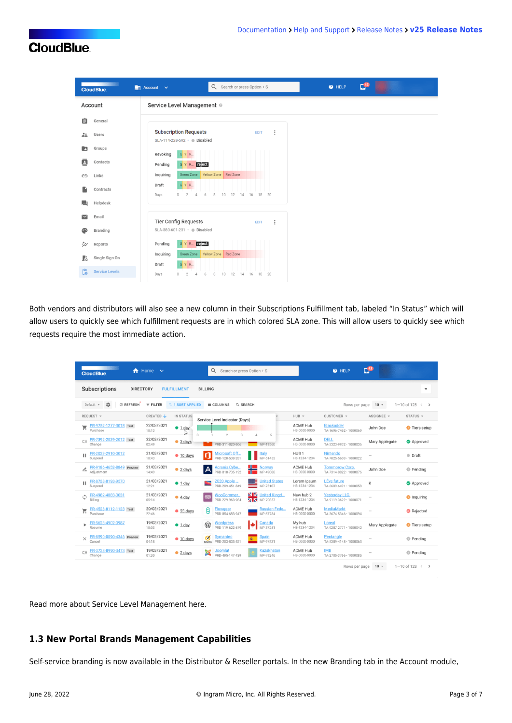| <b>The County of the County</b><br><b>CloudBlue</b> | $\Box$ <sup>42</sup><br>$Q_$ Search or press Option + S<br><b>O</b> HELP<br>$\overline{\mathbb{H}}$ Account $\vee$ |
|-----------------------------------------------------|--------------------------------------------------------------------------------------------------------------------|
| Account                                             | Service Level Management ©                                                                                         |
| Ê<br>General                                        |                                                                                                                    |
| $\frac{22}{\pi}$<br><b>Users</b>                    | <b>Subscription Requests</b><br>÷<br><b>EDIT</b><br>SLA-114-228-592 · Disabled                                     |
| Groups<br>E                                         | GYR<br>Revoking                                                                                                    |
| 8<br>Contacts                                       | G Y R. reject<br>Pending                                                                                           |
| Links<br>$\ominus$                                  | Yellow Zone Red Zone<br>Green Zone<br>Inquiring                                                                    |
| Contracts                                           | G Y R<br>Draft<br>$\circ$<br>$\overline{2}$<br>12<br>18 20<br>Days<br>6<br>8<br>10<br>14<br>16<br>4                |
| Helpdesk<br>围                                       |                                                                                                                    |
| Email                                               | <b>Tier Config Requests</b><br>÷<br><b>EDIT</b>                                                                    |
| Branding<br>മ                                       | SLA-380-601-231 · Disabled                                                                                         |
| Reports<br>₩                                        | G Y R. reject<br>Pending                                                                                           |
| Ŀ<br>Single Sign On                                 | Yellow Zone Red Zone<br>Inquiring<br>Green Zone<br>GYR.<br>Draft                                                   |
| ீ<br><b>Service Levels</b>                          | 10<br>12<br>20<br>Days<br>14<br>16<br>18<br>$\circ$<br>$\overline{2}$<br>6<br>8<br>$\Delta$                        |

Both vendors and distributors will also see a new column in their Subscriptions Fulfillment tab, labeled "In Status" which will allow users to quickly see which fulfillment requests are in which colored SLA zone. This will allow users to quickly see which requests require the most immediate action.

| ₩<br><b>CloudBlue</b>                                      | Home<br>$\checkmark$                     | Q<br>Search or press Option + S                                                           | <b>Q</b> HELP                                                                      | C <sup>42</sup>                                   |
|------------------------------------------------------------|------------------------------------------|-------------------------------------------------------------------------------------------|------------------------------------------------------------------------------------|---------------------------------------------------|
| Subscriptions<br><b>DIRECTORY</b>                          | <b>FULFILLMENT</b>                       | <b>BILLING</b>                                                                            |                                                                                    | $\overline{\phantom{a}}$                          |
| C REFRESH<br>垃<br>Default -                                | $=$ FILTER<br><b>1 1 SORT APPLIED</b>    | <b>III</b> COLUMNS<br>Q SEARCH                                                            | Rows per page                                                                      | $10 -$<br>1-10 of 128 $\leftarrow$ >              |
| REQUEST -                                                  | CREATED V<br>IN STATUS                   | Service Level Indicator (Days)                                                            | $HUB =$<br>CUSTOMER -                                                              | ASSIGNEE +<br>STATUS -                            |
| PR-9752-1277-3018 Test<br>ਦ<br>Purchase                    | 22/03/2021<br>$91$ day<br>18:13          | $\ddot{0}$<br>$\overline{2}$<br>$\overline{3}$<br>5                                       | <b>ACME Hub</b><br><b>Blackadder</b><br>HB-0000-0000<br>TA-1696-7462 · 1000069     | John Doe<br>Tiers setup                           |
| PR-7392-2029-2012 Test<br>CΞ<br>Change                     | 22/03/2021<br>$93 \text{ days}$<br>02:49 | MP-19560<br>PRD-311-820-866                                                               | <b>ACME Hub</b><br><b>DELL</b><br>HB-0000-0000<br>TA-3323-9932 · 1000036           | Mary Applegate<br>Approved                        |
| PR-2029-2910-0012<br>н<br>Suspend                          | 21/03/2021<br>$\bullet$ 10 days<br>18:43 | Microsoft Off<br>Italy<br>MP-51453<br>PRD-128-538-281                                     | HUB <sub>1</sub><br>Nintendo<br>HB-1234-1234<br>TA-7025-5603 · 1000022             | <b>Draft</b>                                      |
| PR-9186-4652-8849 Preview<br>$\mathscr{O}_m$<br>Adjustment | 21/03/2021<br>$\bullet$ 2 days<br>14:49  | <b>Norway</b><br><b>Acronis Cybe</b><br>$\mathsf{A}$<br>MP-49088<br>PRD-818-735-192       | <b>ACME Hub</b><br><b>Tommorow Corp.</b><br>TA-7314-8822 · 1000076<br>HB-0000-0000 | John Doe<br><b>C</b> Pending                      |
| PR-8738-0193-9570<br>н<br>Suspend                          | 21/03/2021<br>$\bullet$ 1 day<br>12:21   | ≋<br><b>United States</b><br>2020 Apple<br>MP-73107<br>PRD-209-451-849                    | L'Ève future<br>Lorem Ipsum<br>HB-1234-1234<br>TA-6609-6491 · 1000058              | Κ<br>Approved                                     |
| PR-4982-4883-0031<br>Ċ<br>Billing                          | 21/03/2021<br>$\bullet$ 4 day<br>05:14   | <b>NIZ</b> United Kingd<br>WooCommer<br>Woo<br><b>Z N</b> MP-70857<br>PRD-229-963-984     | New hub 2<br><b>Yesterday LLC.</b><br>HB-1234-1234<br>TA-9119-3622 · 1000071       | <b>O</b> Inquiring                                |
| PR-4528-8112-1123 Test<br>ੇ<br>Purchase                    | 20/03/2021<br>• 23 days<br>22:46         | <b>Russian Fede</b><br>Θ<br><b>Flowgear</b><br>PRD-854-683-947<br>MP-67734                | <b>ACME Hub</b><br><b>MediaMarkt</b><br>HB-0000-0000<br>TA-3674-5346 · 1000094     | <b>8</b> Rejected                                 |
| PR-5623-4902-0987<br>ь<br>Resume                           | 19/03/2021<br>$\bullet$ 1 day<br>18:03   | Canada<br><u>Wordpress</u><br>$\mathbb{W}$<br>PRD-119-622-679<br>MP-37251                 | My hub<br>Loreal<br>HB-1234-1234<br>TA-9287-2771 · 1000042                         | Mary Applegate<br>Tiers setup                     |
| PR-8590-0090-4346 Preview<br>$\times$<br>Cancel            | 19/03/2021<br>$\bullet$ 10 days<br>04:18 | Spain<br>Symantec<br>$\mathcal{Q}$<br>蜜<br>MP-97531<br>PRD-203-803-521<br><b>Symanter</b> | <b>ACME Hub</b><br>Pentangle<br>HB-0000-0000<br>TA-5389-4148 · 1000063             | <b>Pending</b>                                    |
| PR-3728-8990-3473 Test<br>CΞ<br>Change                     | 19/03/2021<br>$2 \text{ days}$<br>01:30  | <b>Kazakhstan</b><br><u>Joomlal</u><br>x<br>PRD-495-147-439<br>MP-79246                   | <b>ACME Hub</b><br><b>IMB</b><br>HB-0000-0000<br>TA-2705-3766 · 1000085            | <b>B</b> Pending                                  |
|                                                            |                                          |                                                                                           | Rows per page                                                                      | $10 -$<br>$1 - 10$ of 128 $\leq$<br>$\rightarrow$ |

Read more about Service Level Management [here.](https://connect.cloudblue.com/community/modules/service-level-management/)

## **1.3 New Portal Brands Management Capabilities**

Self-service branding is now available in the Distributor & Reseller portals. In the new Branding tab in the Account module,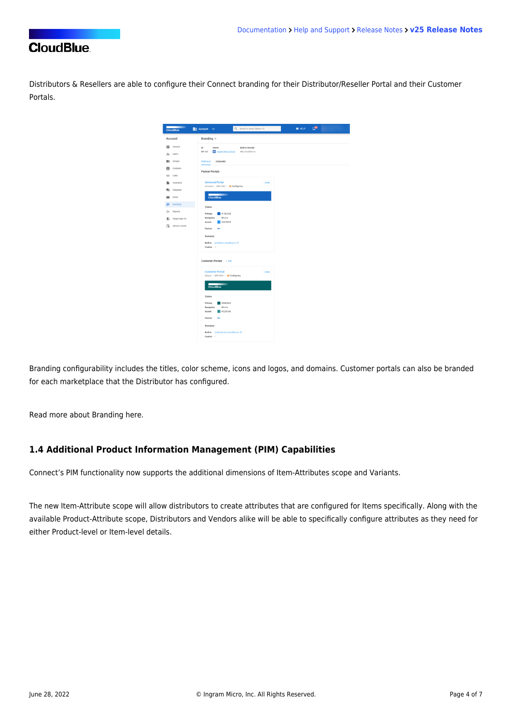Distributors & Resellers are able to configure their Connect branding for their Distributor/Reseller Portal and their Customer Portals.



Branding configurability includes the titles, color scheme, icons and logos, and domains. Customer portals can also be branded for each marketplace that the Distributor has configured.

Read more about Branding [here.](https://connect.cloudblue.com/community/modules/account/brand/)

#### **1.4 Additional Product Information Management (PIM) Capabilities**

Connect's PIM functionality now supports the additional dimensions of Item-Attributes scope and Variants.

The new Item-Attribute scope will allow distributors to create attributes that are configured for Items specifically. Along with the available Product-Attribute scope, Distributors and Vendors alike will be able to specifically configure attributes as they need for either Product-level or Item-level details.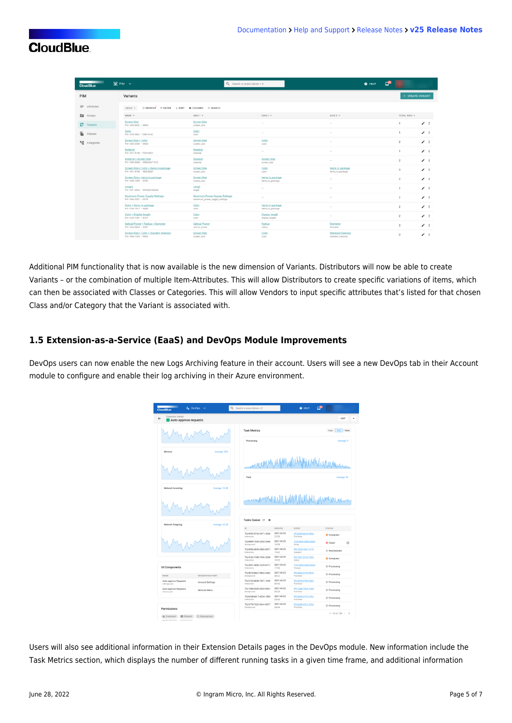| <b>CloudBlue</b>           | $\odot$ PIM $\sim$                                                 |                                                              | Q Search or press Option + S         | <b>O</b> HELP                             |                         |              |
|----------------------------|--------------------------------------------------------------------|--------------------------------------------------------------|--------------------------------------|-------------------------------------------|-------------------------|--------------|
| PIM                        | Variants                                                           |                                                              |                                      |                                           | + CREATE VARIANT        |              |
| $\equiv$ Attributes        | C REFRESH THLTER 1 SORT IN COLUMNS Q SEARCH<br>Default =           |                                                              |                                      |                                           |                         |              |
| <b>Ed</b> Groups           | NAME -                                                             | $AXIS1 -$                                                    | AXIS $2 -$                           | $AXIS3 -$                                 | TOTAL AXIS +            |              |
| <b>17</b> Variants         | Screen Size<br>PIV-1068-4652 - AB69                                | <b>Screen Size</b><br>screen_size                            | $\sim$                               | $\sim$                                    | 1                       | $\lambda$    |
| Œ.<br>Classes              | Color<br>PIV-1039-9467 - 5991476C                                  | Color<br>color                                               | $\sim$                               |                                           | 1                       | $\lambda$ :  |
| <sup>m</sup> LE Categories | Screen Size × Color<br>PIV-1085-2330 - 4A52                        | <b>Screen Size</b><br>screen_size                            | Color<br>color                       | $\sim$                                    | $\overline{2}$          | $\lambda$ is |
|                            | Material<br>PIV-1047-8138 - F53198EE                               | Material<br>material                                         | $\sim$                               | $\sim$                                    | 1                       | $\lambda$ :  |
|                            | Material x Screen Size<br>PIV-1008-8048 - 3986366F7A1E             | Material<br>material                                         | <b>Screen Size</b><br>screen_size    | $\sim$                                    | $\overline{2}$          | $\lambda$ :  |
|                            | Screen Size x Color x Items in package<br>PIV-1001-8758 + 485C2DEF | <b>Screen Size</b><br>screen_size                            | Color<br>color                       | Items in package<br>items_in_package      | $\overline{\mathbf{3}}$ | $\prime$ :   |
|                            | Screen Size x Items in package<br>PIV-1008-1299 - 975C             | <b>Screen Size</b><br>screen_size                            | Items in package<br>items_in_package | $\sim$                                    | $\overline{2}$          | $\lambda$ :  |
|                            | Length<br>PIV-1037-2955 - 9AFB2070E925                             | Lengh<br>length                                              | $\sim$                               | $\sim$                                    | 1                       | $\lambda$ :  |
|                            | Maximum Power Supply Wattage<br>PIV-1066-5251 - E479               | Maximum Power Supply Wattage<br>maximum_power_supply_wattage | $\sim$                               | $\sim$                                    | 1                       | $\lambda$    |
|                            | Color × Items in package<br>PIV-1058-7917 - 4EB0                   | Color<br>color                                               | Items in package<br>items in package | $\sim$                                    | $\overline{2}$          | $\lambda$ :  |
|                            | Color × Display length<br>PIV-1035-1581 - 4CE7                     | Color<br>color                                               | Display length<br>display_lenght     | $\sim$                                    | $\overline{\mathbf{z}}$ | $\lambda$ :  |
|                            | Optical Power × Radius × Diameter<br>PIV-1068-4869 - 4502          | <b>Optical Power</b><br>optical_power                        | Radius<br>radius                     | Diameter<br>diameter                      | $\overline{3}$          | $\lambda$ :  |
|                            | Screen Size × Color × Standart Memory<br>PIV-1006-1529 - 9463      | <b>Screen Size</b><br>screen_size                            | Color<br>color                       | <b>Standard Memory</b><br>standart_memory | $\overline{3}$          | $\lambda$ i  |

Additional PIM functionality that is now available is the new dimension of Variants. Distributors will now be able to create Variants – or the combination of multiple Item-Attributes. This will allow Distributors to create specific variations of items, which can then be associated with Classes or Categories. This will allow Vendors to input specific attributes that's listed for that chosen Class and/or Category that the Variant is associated with.

## **1.5 Extension-as-a-Service (EaaS) and DevOps Module Improvements**

DevOps users can now enable the new Logs Archiving feature in their account. Users will see a new DevOps tab in their Account module to configure and enable their log archiving in their Azure environment.

| 2 <sub>4</sub> DevOps<br><b>CloudBlue</b>                         | Q<br>Search or press Option + S        |                       | œ<br><b>Q</b> HELP            |                               |
|-------------------------------------------------------------------|----------------------------------------|-----------------------|-------------------------------|-------------------------------|
| <b>Extension Details</b><br>Auto-approve requests                 |                                        |                       |                               | EDIT                          |
|                                                                   | <b>Task Metrics</b>                    |                       |                               | Day<br>Hour<br>Week           |
|                                                                   | Processing                             |                       |                               | Average: 5                    |
| Memory<br>Average: 30%                                            |                                        |                       |                               |                               |
|                                                                   | <b>MAMMAM</b><br>Total                 |                       |                               | Average: 30                   |
| Network Incoming<br>Average: 10 kB                                |                                        |                       |                               |                               |
| Network Outgoing<br>Average: 23 kB                                | Tasks Queue C<br>- 20                  |                       |                               |                               |
|                                                                   | $\mathbb{D}$<br>TQ-9993-5732-9471-4236 | CREATED<br>2021-04-23 | EVENT<br>PR-9584-6644-9556    | <b>STATUS</b>                 |
|                                                                   | Interactive                            | $22 - 55$             | Purchase                      | Scheduled                     |
|                                                                   | TO-8489-7359-2552-5346<br>Background   | 2021-04-23<br>16:58   | TCR-0001-0002-0003<br>Setup   | $^{\circ}$<br><b>O</b> Failed |
|                                                                   | TQ-9395-4955-4582-8571<br>Interactive  | 2021-04-23<br>19:42   | PR-7329-7357-1175<br>Suspend  | <sup>©</sup> Rescheduled      |
|                                                                   | TO-4163-1508-7496-3238<br>Interactive  | 2021-04-23<br>10:25   | PR-7967-3124-7243<br>Adjust   | <b>O</b> Scheduled            |
| <b>UI Components</b>                                              | TQ-2091-3890-1229-8717<br>Interactive  | 2021-04-23<br>17:55   | TCR-0002-0003-0004<br>Change  | C Processing                  |
| INTEGRATION POINT<br>NAME                                         | TQ-9810-8067-5842-4302<br>Background   | 2021-04-23<br>08:22   | PR-5604-2735-9518<br>Purchase | C Processing                  |
| Auto-approve Requests<br><b>Account Settings</b><br>settings.json | TO-2122-8688-1521-1645<br>Interactive  | 2021-04-23<br>06:56   | PR-4845-9789-9369<br>Purchase | C Processing                  |
| Auto-approve Requests<br>Services Menu<br>service.json            | TQ-1558-3530-5332-6961<br>Background   | 2021-04-23<br>06:20   | PR-1568-7944-7338<br>Purchase | C Processing                  |
|                                                                   | TO-6238-6417-4234-1593<br>Interactive  | 2021-04-23<br>05:45   | PR-3945-2191-2762<br>Purchase |                               |
|                                                                   |                                        |                       |                               | C Processing                  |
| Permissions                                                       | TO-3778-7322-9644-5077<br>Background   | 2021-04-23<br>04:44   | PR-6055-4761-2752<br>Purchase | C Processing                  |

Users will also see additional information in their Extension Details pages in the DevOps module. New information include the Task Metrics section, which displays the number of different running tasks in a given time frame, and additional information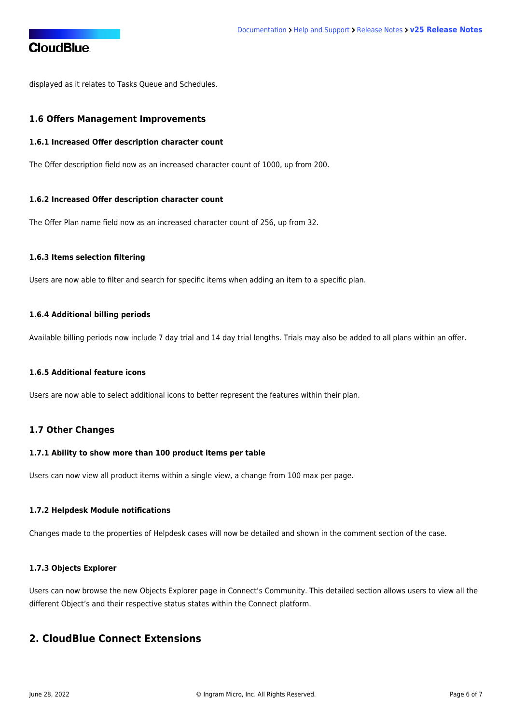displayed as it relates to Tasks Queue and Schedules.

#### **1.6 Offers Management Improvements**

#### **1.6.1 Increased Offer description character count**

The Offer description field now as an increased character count of 1000, up from 200.

#### **1.6.2 Increased Offer description character count**

The Offer Plan name field now as an increased character count of 256, up from 32.

#### **1.6.3 Items selection filtering**

Users are now able to filter and search for specific items when adding an item to a specific plan.

#### **1.6.4 Additional billing periods**

Available billing periods now include 7 day trial and 14 day trial lengths. Trials may also be added to all plans within an offer.

#### **1.6.5 Additional feature icons**

Users are now able to select additional icons to better represent the features within their plan.

#### **1.7 Other Changes**

#### **1.7.1 Ability to show more than 100 product items per table**

Users can now view all product items within a single view, a change from 100 max per page.

#### **1.7.2 Helpdesk Module notifications**

Changes made to the properties of Helpdesk cases will now be detailed and shown in the comment section of the case.

#### **1.7.3 Objects Explorer**

Users can now browse the new [Objects Explorer page](https://connect.cloudblue.com/community/developers/objects/) in Connect's Community. This detailed section allows users to view all the different Object's and their respective status states within the Connect platform.

## **2. CloudBlue Connect Extensions**